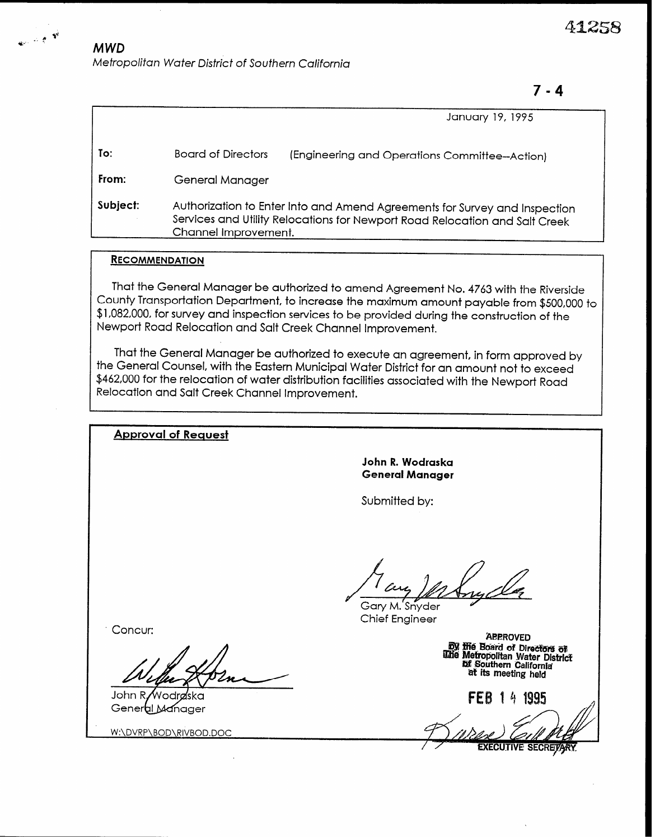# $\mathbb{R}^{\bullet}$  <sup>\*</sup> MWD Metropolitan Water District of Southern California

7-4

|          |                                                                                                                                                                                   | January 19, 1995                              |
|----------|-----------------------------------------------------------------------------------------------------------------------------------------------------------------------------------|-----------------------------------------------|
| To:      | <b>Board of Directors</b>                                                                                                                                                         | (Engineering and Operations Committee-Action) |
| From:    | General Manager                                                                                                                                                                   |                                               |
| Subject: | Authorization to Enter Into and Amend Agreements for Survey and Inspection<br>Services and Utility Relocations for Newport Road Relocation and Salt Creek<br>Channel Improvement. |                                               |

#### **RECOMMENDATION**

That the General Manager be authorized to amend Agreement No. 4763 with the Riverside County Transportation Department, to increase the maximum amount payable from \$500,000 to \$1,082,000, for survey and inspection services to be provided during the construction of the Newport Road Relocation and Salt Creek Channel Improvement.

That the General Manager be authorized to execute an agreement, in form approved by the General Counsel, with the Eastern Municipal Water District for an amount not to exceed \$462,000 for the relocation of water distribution facilities associated with the Newport Road Relocation and Salt Creek Channel Improvement.

| <b>Approval of Request</b>            |                                                                                                                                            |
|---------------------------------------|--------------------------------------------------------------------------------------------------------------------------------------------|
|                                       | John R. Wodraska<br><b>General Manager</b>                                                                                                 |
|                                       | Submitted by:                                                                                                                              |
|                                       |                                                                                                                                            |
|                                       | an<br>Gary M. Snyder                                                                                                                       |
| Concur:                               | <b>Chief Engineer</b>                                                                                                                      |
|                                       | <b>APPROVED</b><br><b>By the Board of Directors of</b><br>The Metropolitan Water District<br>bf Southern California<br>at its meeting held |
| John R/Wodraska<br>General<br>Manager | 1995<br><b>FEB</b><br>4<br>$\mathcal{L}$                                                                                                   |

W:\DVRP\BOD\RIVBOD.DOC

**XECUTIVE SECRETARY**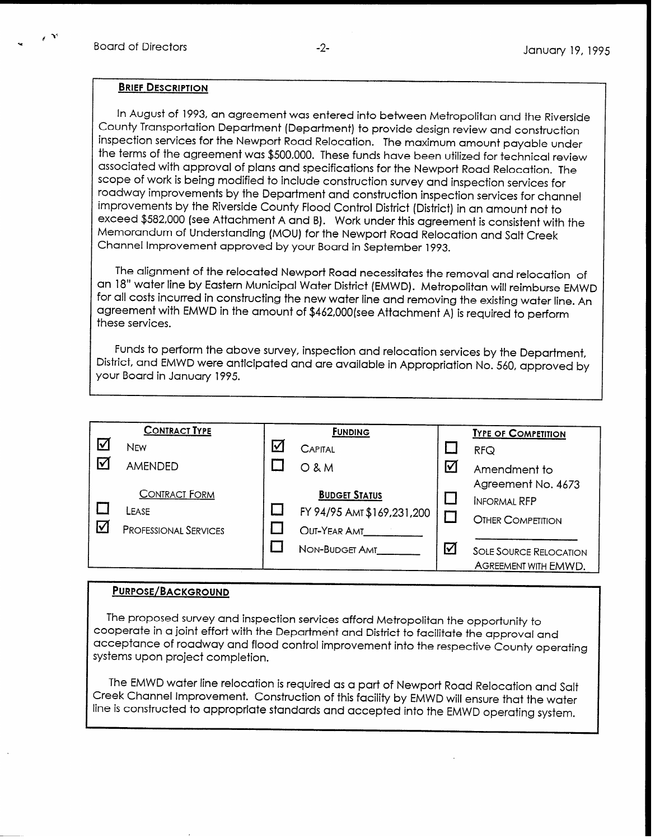$\epsilon$  3%

#### BRIEF DESCRIPTION

In August of 1993, an agreement was entered into between Metropolitan and the Riverside County Transportation Department (Department) to provide design review and construction inspection services for the Newport Road Relocation. The maximum amount payable under the terms of the agreement was \$500,000. These funds have been utilized for technical review associated with approval of plans and specifications for the Newport Road Relocation. The scope of work is being modified to include construction survey and inspection services for roadway improvements by the Department and construction inspection services for channel improvements by the Riverside County Flood Control District (District) in an amount not to exceed \$582,000 (see Attachment A and B). Work under this agreement is consistent with the Memorandum of Understanding (MOU) for the Newport Road Relocation and Salt Creek Channel Improvement approved by your Board in September 1993.

The alignment of the relocated Newport Road necessitates the removal and relocation of an 18" water line by Eastern Municipal Water District (EMWD). Metropolitan will reimburse EMWD for all costs incurred in constructing the new water line and removing the existing water line. An agreement with EMWD in the amount of \$462,00O(see Attachment A) is required to perform these services.

Funds to perform the above survey, inspection and relocation services by the Department, District, and EMWD were anticipated and are available in Appropriation No. 560, approved by your Board in January 1995.

|                 | <b>CONTRACT TYPE</b>         |   | <b>FUNDING</b>             |                       | <b>TYPE OF COMPETITION</b>    |
|-----------------|------------------------------|---|----------------------------|-----------------------|-------------------------------|
| ☑               | <b>NEW</b>                   | ☑ | <b>CAPITAL</b>             |                       | RFG                           |
| $\triangledown$ | <b>AMENDED</b>               |   | <b>O&amp;M</b>             | $\boldsymbol{\nabla}$ | Amendment to                  |
|                 |                              |   |                            |                       | Agreement No. 4673            |
|                 | <b>CONTRACT FORM</b>         |   | <b>BUDGET STATUS</b>       |                       | <b>INFORMAL RFP</b>           |
|                 | LEASE                        |   | FY 94/95 AMT \$169,231,200 |                       | <b>OTHER COMPETITION</b>      |
| ☑               | <b>PROFESSIONAL SERVICES</b> |   | OUT-YEAR AMT               |                       |                               |
|                 |                              |   | NON-BUDGET AMT             | ☑                     | <b>SOLE SOURCE RELOCATION</b> |
|                 |                              |   |                            |                       | AGREEMENT WITH EMWD.          |

#### PURPOSE/BACKGROUND

The proposed survey and inspection services afford Metropolitan the opportunity to cooperate in a joint effort with the Department and District to facilitate the approval and acceptance of roadway and flood control improvement into the respective County operating systems upon project completion.

The EMWD water line relocation is required as a part of Newport Road Relocation and Salt Creek Channel Improvement. Construction of this facility by EMWD will ensure that the water line is constructed to appropriate standards and accepted into the EMWD operating system.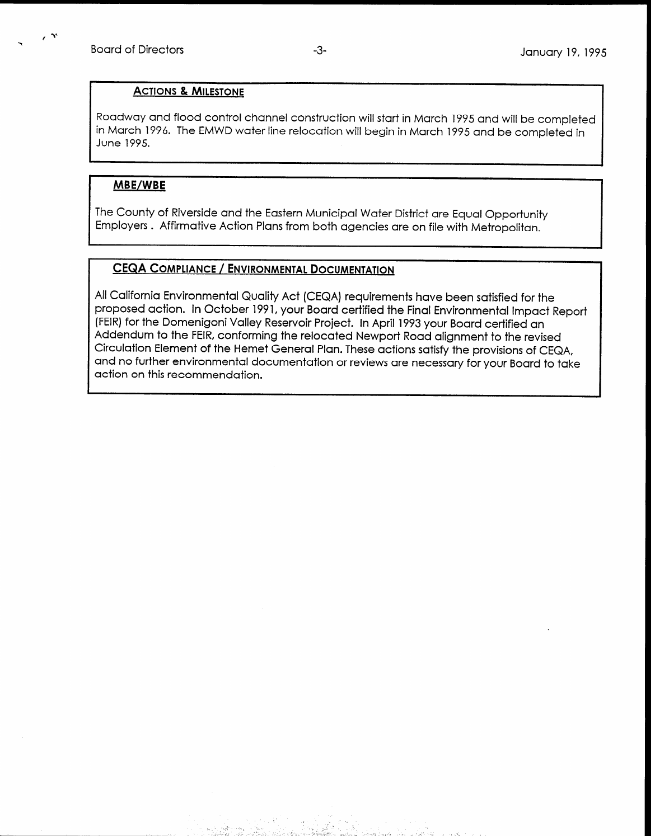#### ACTIONS & MILESTONE

Roadway and flood control channel construction will start in March 1995 and will be completed in March 1996. The EMWD water line relocation will begin in March 1995 and be completed in June 1995.

#### MBE/WBE

The County of Riverside and the Eastern Municipal Water District are Equal Opportunity Employers . Affirmative Action Plans from both agencies are on file with Metropolitan.

### CEQA COMPLIANCE / ENVIRONMENTAL DOCUMENTATION

-- : ,.

, 1999, 1999, 1999, 1999, 1999, 1999, 1999, 1999, 1999, 1999, 1999, 1999, 1999, 1999, 1999, 1999, 1999, 1999,

All California Environmental Quality Act (CEQA) requirements have been satisfied for the proposed action. In October 1991, your Board certified the Final Environmental Impact Report (FEIR) for the Domenigoni Valley Reservoir Project. In April 1993 your Board certified an Addendum to the FEIR, conforming the relocated Newport Road alignment to the revised Circulation Element of the Hemet General Plan. These actions satisfy the provisions of CEQA, and no further environmental documentation or reviews are necessary for your Board to take action on this recommendation.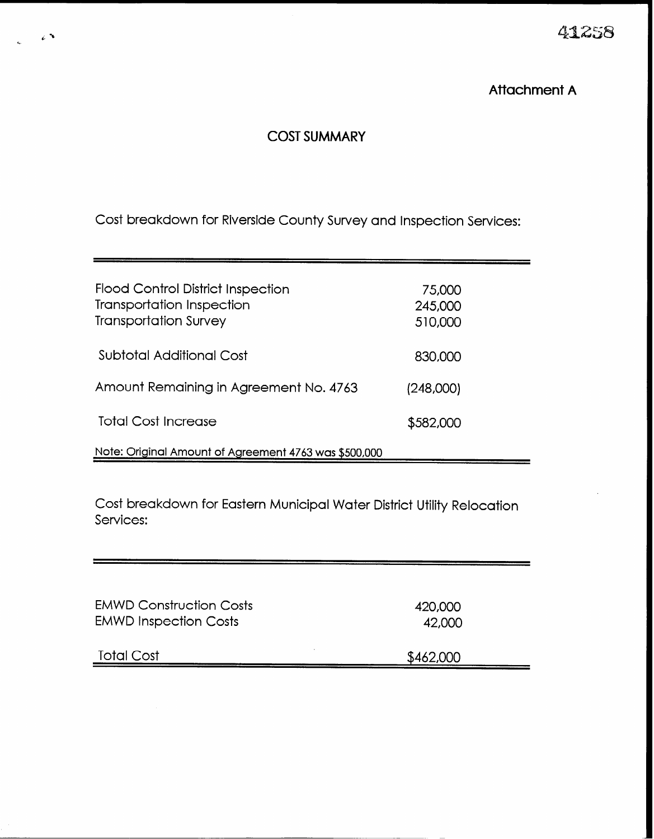41258

## Attachment A

## COST SUMMARY

 $\epsilon$ 

Cost breakdown for Riverside County Survey and Inspection Services:

| <b>Flood Control District Inspection</b><br><b>Transportation Inspection</b><br><b>Transportation Survey</b> | 75,000<br>245,000<br>510,000 |  |
|--------------------------------------------------------------------------------------------------------------|------------------------------|--|
| Subtotal Additional Cost                                                                                     | 830,000                      |  |
| Amount Remaining in Agreement No. 4763                                                                       | (248,000)                    |  |
| <b>Total Cost Increase</b>                                                                                   | \$582,000                    |  |
| Note: Original Amount of Agreement 4763 was \$500,000                                                        |                              |  |

Cost breakdown for Eastern Municipal Water District Utility Relocation Services:

| <b>EMWD Construction Costs</b> | 420,000   |
|--------------------------------|-----------|
| <b>EMWD Inspection Costs</b>   | 42,000    |
| <b>Total Cost</b>              | \$462,000 |